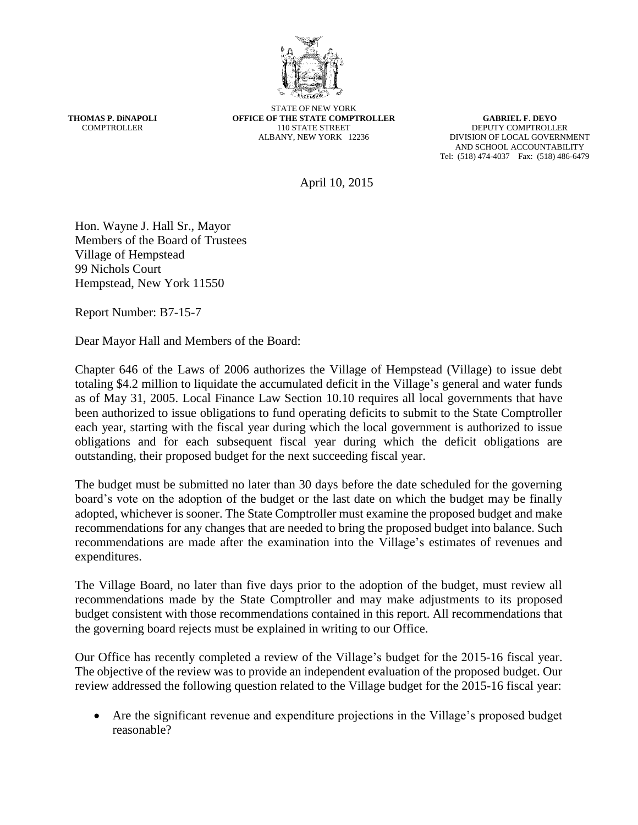

**THOMAS P. DiNAPOLI COMPTROLLER** 

STATE OF NEW YORK **OFFICE OF THE STATE COMPTROLLER** 110 STATE STREET ALBANY, NEW YORK 12236

**GABRIEL F. DEYO** DEPUTY COMPTROLLER DIVISION OF LOCAL GOVERNMENT AND SCHOOL ACCOUNTABILITY Tel: (518) 474-4037 Fax: (518) 486-6479

April 10, 2015

Hon. Wayne J. Hall Sr., Mayor Members of the Board of Trustees Village of Hempstead 99 Nichols Court Hempstead, New York 11550

Report Number: B7-15-7

Dear Mayor Hall and Members of the Board:

Chapter 646 of the Laws of 2006 authorizes the Village of Hempstead (Village) to issue debt totaling \$4.2 million to liquidate the accumulated deficit in the Village's general and water funds as of May 31, 2005. Local Finance Law Section 10.10 requires all local governments that have been authorized to issue obligations to fund operating deficits to submit to the State Comptroller each year, starting with the fiscal year during which the local government is authorized to issue obligations and for each subsequent fiscal year during which the deficit obligations are outstanding, their proposed budget for the next succeeding fiscal year.

The budget must be submitted no later than 30 days before the date scheduled for the governing board's vote on the adoption of the budget or the last date on which the budget may be finally adopted, whichever is sooner. The State Comptroller must examine the proposed budget and make recommendations for any changes that are needed to bring the proposed budget into balance. Such recommendations are made after the examination into the Village's estimates of revenues and expenditures.

The Village Board, no later than five days prior to the adoption of the budget, must review all recommendations made by the State Comptroller and may make adjustments to its proposed budget consistent with those recommendations contained in this report. All recommendations that the governing board rejects must be explained in writing to our Office.

Our Office has recently completed a review of the Village's budget for the 2015-16 fiscal year. The objective of the review was to provide an independent evaluation of the proposed budget. Our review addressed the following question related to the Village budget for the 2015-16 fiscal year:

 Are the significant revenue and expenditure projections in the Village's proposed budget reasonable?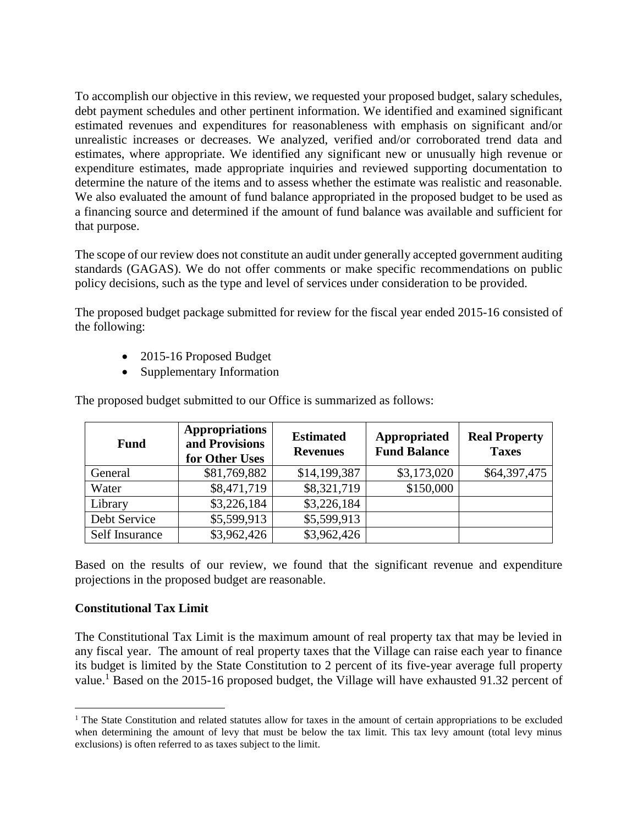To accomplish our objective in this review, we requested your proposed budget, salary schedules, debt payment schedules and other pertinent information. We identified and examined significant estimated revenues and expenditures for reasonableness with emphasis on significant and/or unrealistic increases or decreases. We analyzed, verified and/or corroborated trend data and estimates, where appropriate. We identified any significant new or unusually high revenue or expenditure estimates, made appropriate inquiries and reviewed supporting documentation to determine the nature of the items and to assess whether the estimate was realistic and reasonable. We also evaluated the amount of fund balance appropriated in the proposed budget to be used as a financing source and determined if the amount of fund balance was available and sufficient for that purpose.

The scope of our review does not constitute an audit under generally accepted government auditing standards (GAGAS). We do not offer comments or make specific recommendations on public policy decisions, such as the type and level of services under consideration to be provided.

The proposed budget package submitted for review for the fiscal year ended 2015-16 consisted of the following:

- 2015-16 Proposed Budget
- Supplementary Information

| <b>Fund</b>    | <b>Appropriations</b><br>and Provisions<br>for Other Uses | <b>Estimated</b><br><b>Revenues</b> | Appropriated<br><b>Fund Balance</b> | <b>Real Property</b><br><b>Taxes</b> |
|----------------|-----------------------------------------------------------|-------------------------------------|-------------------------------------|--------------------------------------|
| General        | \$81,769,882                                              | \$14,199,387                        | \$3,173,020                         | \$64,397,475                         |
| Water          | \$8,471,719                                               | \$8,321,719                         | \$150,000                           |                                      |
| Library        | \$3,226,184                                               | \$3,226,184                         |                                     |                                      |
| Debt Service   | \$5,599,913                                               | \$5,599,913                         |                                     |                                      |
| Self Insurance | \$3,962,426                                               | \$3,962,426                         |                                     |                                      |

The proposed budget submitted to our Office is summarized as follows:

Based on the results of our review, we found that the significant revenue and expenditure projections in the proposed budget are reasonable.

## **Constitutional Tax Limit**

The Constitutional Tax Limit is the maximum amount of real property tax that may be levied in any fiscal year. The amount of real property taxes that the Village can raise each year to finance its budget is limited by the State Constitution to 2 percent of its five-year average full property value.<sup>1</sup> Based on the 2015-16 proposed budget, the Village will have exhausted 91.32 percent of

 $\overline{a}$ <sup>1</sup> The State Constitution and related statutes allow for taxes in the amount of certain appropriations to be excluded when determining the amount of levy that must be below the tax limit. This tax levy amount (total levy minus exclusions) is often referred to as taxes subject to the limit.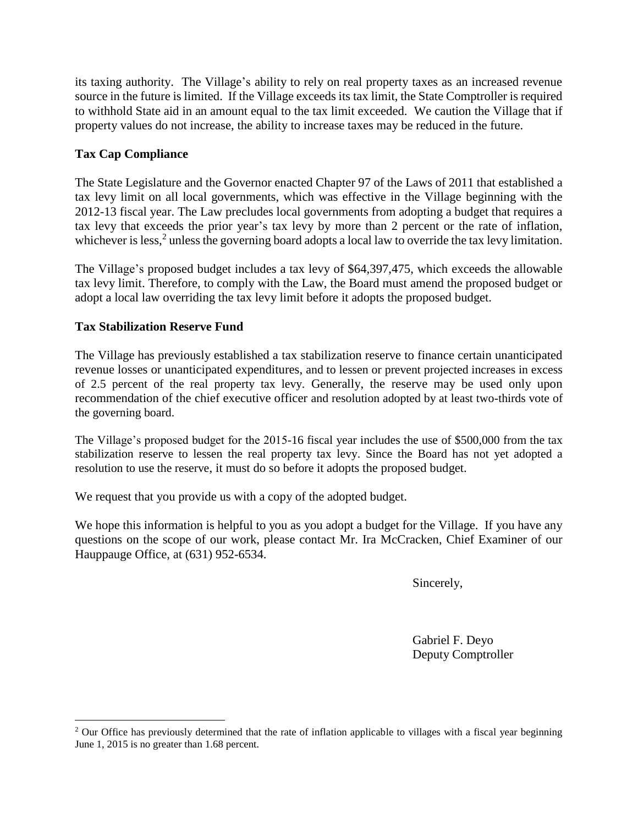its taxing authority. The Village's ability to rely on real property taxes as an increased revenue source in the future is limited. If the Village exceeds its tax limit, the State Comptroller is required to withhold State aid in an amount equal to the tax limit exceeded. We caution the Village that if property values do not increase, the ability to increase taxes may be reduced in the future.

## **Tax Cap Compliance**

The State Legislature and the Governor enacted Chapter 97 of the Laws of 2011 that established a tax levy limit on all local governments, which was effective in the Village beginning with the 2012-13 fiscal year. The Law precludes local governments from adopting a budget that requires a tax levy that exceeds the prior year's tax levy by more than 2 percent or the rate of inflation, whichever is less,<sup>2</sup> unless the governing board adopts a local law to override the tax levy limitation.

The Village's proposed budget includes a tax levy of \$64,397,475, which exceeds the allowable tax levy limit. Therefore, to comply with the Law, the Board must amend the proposed budget or adopt a local law overriding the tax levy limit before it adopts the proposed budget.

## **Tax Stabilization Reserve Fund**

 $\overline{a}$ 

The Village has previously established a tax stabilization reserve to finance certain unanticipated revenue losses or unanticipated expenditures, and to lessen or prevent projected increases in excess of 2.5 percent of the real property tax levy. Generally, the reserve may be used only upon recommendation of the chief executive officer and resolution adopted by at least two-thirds vote of the governing board.

The Village's proposed budget for the 2015-16 fiscal year includes the use of \$500,000 from the tax stabilization reserve to lessen the real property tax levy. Since the Board has not yet adopted a resolution to use the reserve, it must do so before it adopts the proposed budget.

We request that you provide us with a copy of the adopted budget.

We hope this information is helpful to you as you adopt a budget for the Village. If you have any questions on the scope of our work, please contact Mr. Ira McCracken, Chief Examiner of our Hauppauge Office, at (631) 952-6534.

Sincerely,

 Gabriel F. Deyo Deputy Comptroller

<sup>&</sup>lt;sup>2</sup> Our Office has previously determined that the rate of inflation applicable to villages with a fiscal year beginning June 1, 2015 is no greater than 1.68 percent.